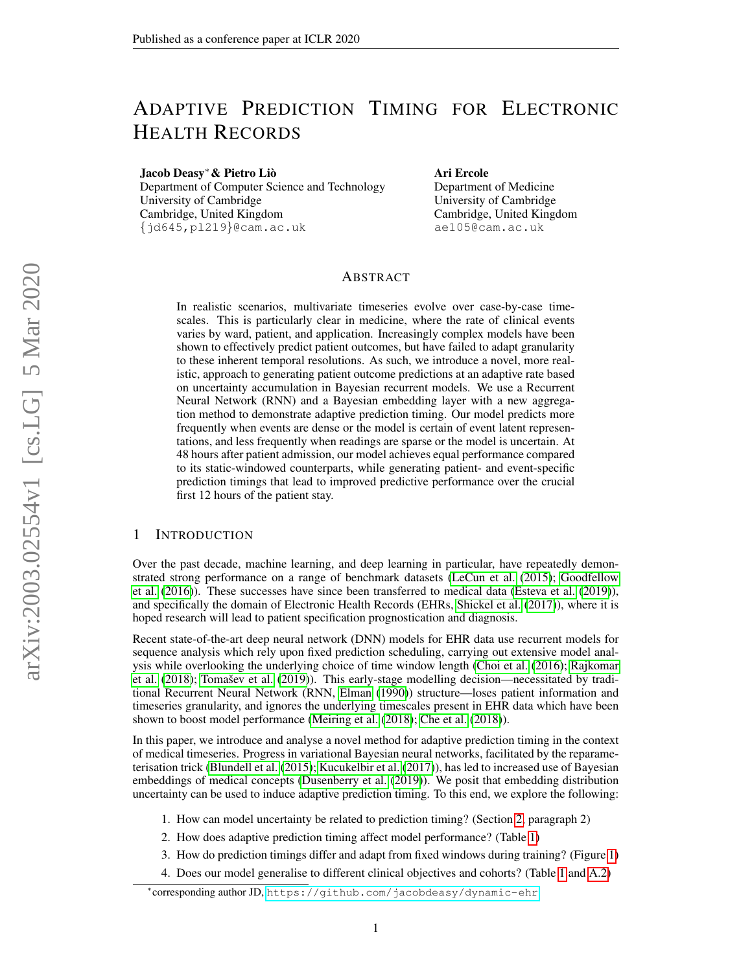# ADAPTIVE PREDICTION TIMING FOR ELECTRONIC HEALTH RECORDS

Jacob Deasy<sup>∗</sup>& Pietro Lio`

Department of Computer Science and Technology University of Cambridge Cambridge, United Kingdom {jd645,pl219}@cam.ac.uk

Ari Ercole

Department of Medicine University of Cambridge Cambridge, United Kingdom ae105@cam.ac.uk

# ABSTRACT

In realistic scenarios, multivariate timeseries evolve over case-by-case timescales. This is particularly clear in medicine, where the rate of clinical events varies by ward, patient, and application. Increasingly complex models have been shown to effectively predict patient outcomes, but have failed to adapt granularity to these inherent temporal resolutions. As such, we introduce a novel, more realistic, approach to generating patient outcome predictions at an adaptive rate based on uncertainty accumulation in Bayesian recurrent models. We use a Recurrent Neural Network (RNN) and a Bayesian embedding layer with a new aggregation method to demonstrate adaptive prediction timing. Our model predicts more frequently when events are dense or the model is certain of event latent representations, and less frequently when readings are sparse or the model is uncertain. At 48 hours after patient admission, our model achieves equal performance compared to its static-windowed counterparts, while generating patient- and event-specific prediction timings that lead to improved predictive performance over the crucial first 12 hours of the patient stay.

# 1 INTRODUCTION

Over the past decade, machine learning, and deep learning in particular, have repeatedly demonstrated strong performance on a range of benchmark datasets [\(LeCun et al.](#page-4-0) [\(2015\)](#page-4-0); [Goodfellow](#page-4-1) [et al.](#page-4-1) [\(2016\)](#page-4-1)). These successes have since been transferred to medical data [\(Esteva et al.](#page-4-2) [\(2019\)](#page-4-2)), and specifically the domain of Electronic Health Records (EHRs, [Shickel et al.](#page-5-0) [\(2017\)](#page-5-0)), where it is hoped research will lead to patient specification prognostication and diagnosis.

Recent state-of-the-art deep neural network (DNN) models for EHR data use recurrent models for sequence analysis which rely upon fixed prediction scheduling, carrying out extensive model analysis while overlooking the underlying choice of time window length [\(Choi et al.](#page-4-3) [\(2016\)](#page-4-3); [Rajkomar](#page-5-1) [et al.](#page-5-1) [\(2018\)](#page-5-1); Tomašev et al. [\(2019\)](#page-5-2)). This early-stage modelling decision—necessitated by traditional Recurrent Neural Network (RNN, [Elman](#page-4-4) [\(1990\)](#page-4-4)) structure—loses patient information and timeseries granularity, and ignores the underlying timescales present in EHR data which have been shown to boost model performance [\(Meiring et al.](#page-5-3) [\(2018\)](#page-5-3); [Che et al.](#page-4-5) [\(2018\)](#page-4-5)).

In this paper, we introduce and analyse a novel method for adaptive prediction timing in the context of medical timeseries. Progress in variational Bayesian neural networks, facilitated by the reparameterisation trick [\(Blundell et al.](#page-4-6) [\(2015\)](#page-4-6); [Kucukelbir et al.](#page-4-7) [\(2017\)](#page-4-7)), has led to increased use of Bayesian embeddings of medical concepts [\(Dusenberry et al.](#page-4-8) [\(2019\)](#page-4-8)). We posit that embedding distribution uncertainty can be used to induce adaptive prediction timing. To this end, we explore the following:

1. How can model uncertainty be related to prediction timing? (Section [2,](#page-1-0) paragraph 2)

- 2. How does adaptive prediction timing affect model performance? (Table [1\)](#page-2-0)
- 3. How do prediction timings differ and adapt from fixed windows during training? (Figure [1\)](#page-3-0)
- 4. Does our model generalise to different clinical objectives and cohorts? (Table [1](#page-2-0) and [A.2\)](#page-3-1)

<sup>∗</sup> corresponding author JD, <https://github.com/jacobdeasy/dynamic-ehr>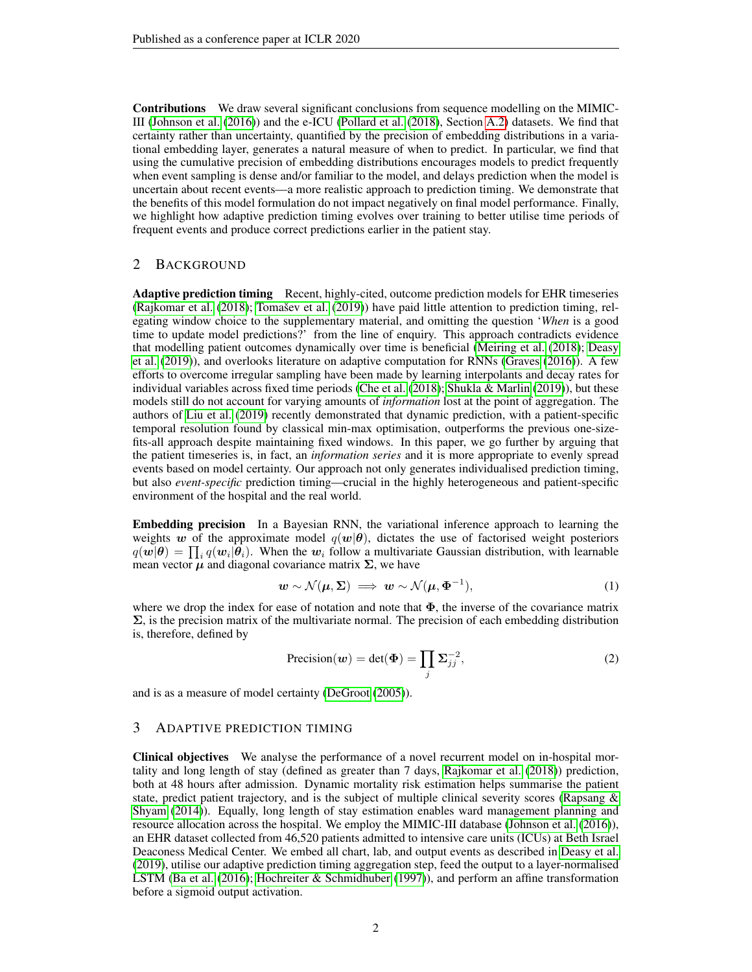Contributions We draw several significant conclusions from sequence modelling on the MIMIC-III [\(Johnson et al.](#page-4-9) [\(2016\)](#page-4-9)) and the e-ICU [\(Pollard et al.](#page-5-4) [\(2018\)](#page-5-4), Section [A.2\)](#page-6-0) datasets. We find that certainty rather than uncertainty, quantified by the precision of embedding distributions in a variational embedding layer, generates a natural measure of when to predict. In particular, we find that using the cumulative precision of embedding distributions encourages models to predict frequently when event sampling is dense and/or familiar to the model, and delays prediction when the model is uncertain about recent events—a more realistic approach to prediction timing. We demonstrate that the benefits of this model formulation do not impact negatively on final model performance. Finally, we highlight how adaptive prediction timing evolves over training to better utilise time periods of frequent events and produce correct predictions earlier in the patient stay.

# <span id="page-1-0"></span>2 BACKGROUND

Adaptive prediction timing Recent, highly-cited, outcome prediction models for EHR timeseries [\(Rajkomar et al.](#page-5-1)  $(2018)$ ; Tomašev et al.  $(2019)$ ) have paid little attention to prediction timing, relegating window choice to the supplementary material, and omitting the question '*When* is a good time to update model predictions?' from the line of enquiry. This approach contradicts evidence that modelling patient outcomes dynamically over time is beneficial [\(Meiring et al.](#page-5-3) [\(2018\)](#page-5-3); [Deasy](#page-4-10) [et al.](#page-4-10) [\(2019\)](#page-4-10)), and overlooks literature on adaptive computation for RNNs [\(Graves](#page-4-11) [\(2016\)](#page-4-11)). A few efforts to overcome irregular sampling have been made by learning interpolants and decay rates for individual variables across fixed time periods [\(Che et al.](#page-4-5)  $(2018)$ ; [Shukla & Marlin](#page-5-5)  $(2019)$ ), but these models still do not account for varying amounts of *information* lost at the point of aggregation. The authors of [Liu et al.](#page-5-6) [\(2019\)](#page-5-6) recently demonstrated that dynamic prediction, with a patient-specific temporal resolution found by classical min-max optimisation, outperforms the previous one-sizefits-all approach despite maintaining fixed windows. In this paper, we go further by arguing that the patient timeseries is, in fact, an *information series* and it is more appropriate to evenly spread events based on model certainty. Our approach not only generates individualised prediction timing, but also *event-specific* prediction timing—crucial in the highly heterogeneous and patient-specific environment of the hospital and the real world.

Embedding precision In a Bayesian RNN, the variational inference approach to learning the weights w of the approximate model  $q(w|\theta)$ , dictates the use of factorised weight posteriors  $q(\bm{w}|\bm{\theta}) = \prod_i q(\bm{w}_i|\bm{\theta}_i)$ . When the  $\bm{w}_i$  follow a multivariate Gaussian distribution, with learnable mean vector  $\mu$  and diagonal covariance matrix  $\Sigma$ , we have

$$
\mathbf{w} \sim \mathcal{N}(\boldsymbol{\mu}, \boldsymbol{\Sigma}) \implies \mathbf{w} \sim \mathcal{N}(\boldsymbol{\mu}, \boldsymbol{\Phi}^{-1}), \tag{1}
$$

where we drop the index for ease of notation and note that  $\Phi$ , the inverse of the covariance matrix  $\Sigma$ , is the precision matrix of the multivariate normal. The precision of each embedding distribution is, therefore, defined by

$$
Precision(w) = det(\Phi) = \prod_{j} \Sigma_{jj}^{-2},
$$
\n(2)

and is as a measure of model certainty [\(DeGroot](#page-4-12) [\(2005\)](#page-4-12)).

## 3 ADAPTIVE PREDICTION TIMING

Clinical objectives We analyse the performance of a novel recurrent model on in-hospital mortality and long length of stay (defined as greater than 7 days, [Rajkomar et al.](#page-5-1) [\(2018\)](#page-5-1)) prediction, both at 48 hours after admission. Dynamic mortality risk estimation helps summarise the patient state, predict patient trajectory, and is the subject of multiple clinical severity scores [\(Rapsang &](#page-5-7) [Shyam](#page-5-7) [\(2014\)](#page-5-7)). Equally, long length of stay estimation enables ward management planning and resource allocation across the hospital. We employ the MIMIC-III database [\(Johnson et al.](#page-4-9) [\(2016\)](#page-4-9)), an EHR dataset collected from 46,520 patients admitted to intensive care units (ICUs) at Beth Israel Deaconess Medical Center. We embed all chart, lab, and output events as described in [Deasy et al.](#page-4-10) [\(2019\)](#page-4-10), utilise our adaptive prediction timing aggregation step, feed the output to a layer-normalised LSTM [\(Ba et al.](#page-4-13) [\(2016\)](#page-4-13); [Hochreiter & Schmidhuber](#page-4-14) [\(1997\)](#page-4-14)), and perform an affine transformation before a sigmoid output activation.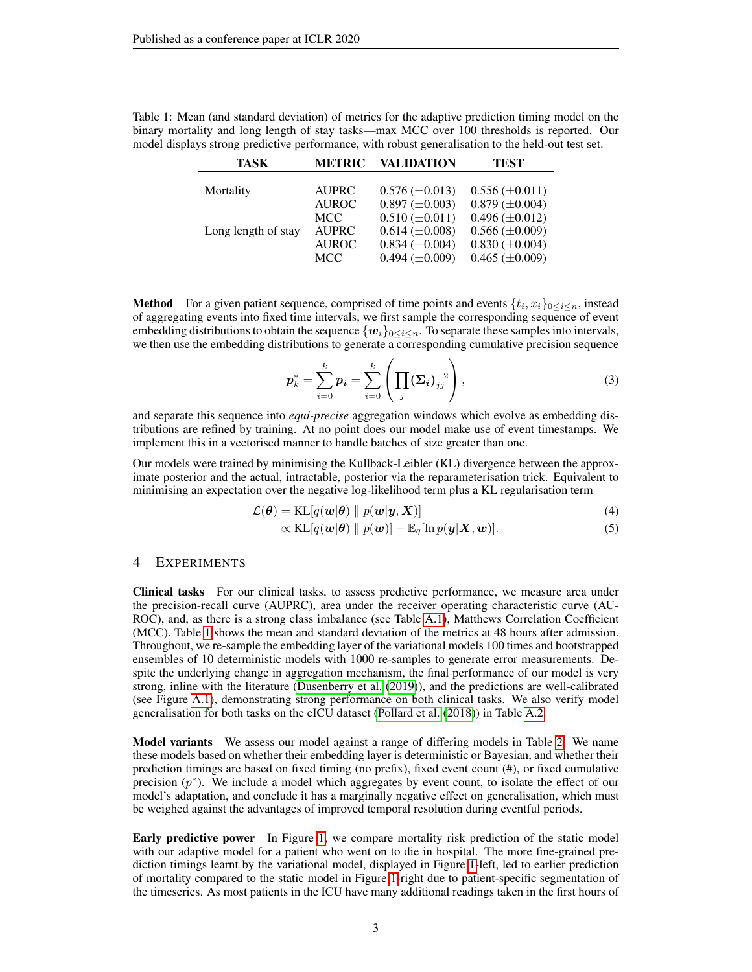| <b>TASK</b>         | <b>METRIC</b> | <b>VALIDATION</b>     | <b>TEST</b>           |
|---------------------|---------------|-----------------------|-----------------------|
|                     |               |                       |                       |
| Mortality           | <b>AUPRC</b>  | $0.576 \ (\pm 0.013)$ | $0.556 \ (\pm 0.011)$ |
|                     | <b>AUROC</b>  | $0.897 \ (\pm 0.003)$ | $0.879 \ (\pm 0.004)$ |
|                     | <b>MCC</b>    | $0.510 \ (\pm 0.011)$ | $0.496 \ (\pm 0.012)$ |
| Long length of stay | <b>AUPRC</b>  | $0.614 \ (\pm 0.008)$ | $0.566 \ (\pm 0.009)$ |
|                     | <b>AUROC</b>  | $0.834 \ (\pm 0.004)$ | $0.830 \ (\pm 0.004)$ |
|                     | MCC           | $0.494 \ (\pm 0.009)$ | $0.465 \ (\pm 0.009)$ |

<span id="page-2-0"></span>Table 1: Mean (and standard deviation) of metrics for the adaptive prediction timing model on the binary mortality and long length of stay tasks—max MCC over 100 thresholds is reported. Our model displays strong predictive performance, with robust generalisation to the held-out test set.

**Method** For a given patient sequence, comprised of time points and events  $\{t_i, x_i\}_{0 \leq i \leq n}$ , instead of aggregating events into fixed time intervals, we first sample the corresponding sequence of event embedding distributions to obtain the sequence  $\{w_i\}_{0 \leq i \leq n}$ . To separate these samples into intervals, we then use the embedding distributions to generate a corresponding cumulative precision sequence

$$
\boldsymbol{p}_k^* = \sum_{i=0}^k \boldsymbol{p}_i = \sum_{i=0}^k \left( \prod_j (\boldsymbol{\Sigma}_i)_{jj}^{-2} \right), \tag{3}
$$

and separate this sequence into *equi-precise* aggregation windows which evolve as embedding distributions are refined by training. At no point does our model make use of event timestamps. We implement this in a vectorised manner to handle batches of size greater than one.

Our models were trained by minimising the Kullback-Leibler (KL) divergence between the approximate posterior and the actual, intractable, posterior via the reparameterisation trick. Equivalent to minimising an expectation over the negative log-likelihood term plus a KL regularisation term

$$
\mathcal{L}(\boldsymbol{\theta}) = \text{KL}[q(\boldsymbol{w}|\boldsymbol{\theta}) \parallel p(\boldsymbol{w}|\boldsymbol{y}, \boldsymbol{X})] \tag{4}
$$

$$
\propto \text{KL}[q(\boldsymbol{w}|\boldsymbol{\theta}) \parallel p(\boldsymbol{w})] - \mathbb{E}_q[\ln p(\boldsymbol{y}|\boldsymbol{X}, \boldsymbol{w})]. \tag{5}
$$

#### 4 EXPERIMENTS

Clinical tasks For our clinical tasks, to assess predictive performance, we measure area under the precision-recall curve (AUPRC), area under the receiver operating characteristic curve (AU-ROC), and, as there is a strong class imbalance (see Table [A.1\)](#page-2-0), Matthews Correlation Coefficient (MCC). Table [1](#page-2-0) shows the mean and standard deviation of the metrics at 48 hours after admission. Throughout, we re-sample the embedding layer of the variational models 100 times and bootstrapped ensembles of 10 deterministic models with 1000 re-samples to generate error measurements. Despite the underlying change in aggregation mechanism, the final performance of our model is very strong, inline with the literature [\(Dusenberry et al.](#page-4-8) [\(2019\)](#page-4-8)), and the predictions are well-calibrated (see Figure [A.1\)](#page-3-0), demonstrating strong performance on both clinical tasks. We also verify model generalisation for both tasks on the eICU dataset [\(Pollard et al.](#page-5-4) [\(2018\)](#page-5-4)) in Table [A.2.](#page-3-1)

Model variants We assess our model against a range of differing models in Table [2.](#page-3-1) We name these models based on whether their embedding layer is deterministic or Bayesian, and whether their prediction timings are based on fixed timing (no prefix), fixed event count (#), or fixed cumulative precision  $(p^*)$ . We include a model which aggregates by event count, to isolate the effect of our model's adaptation, and conclude it has a marginally negative effect on generalisation, which must be weighed against the advantages of improved temporal resolution during eventful periods.

Early predictive power In Figure [1,](#page-3-0) we compare mortality risk prediction of the static model with our adaptive model for a patient who went on to die in hospital. The more fine-grained prediction timings learnt by the variational model, displayed in Figure [1-](#page-3-0)left, led to earlier prediction of mortality compared to the static model in Figure [1-](#page-3-0)right due to patient-specific segmentation of the timeseries. As most patients in the ICU have many additional readings taken in the first hours of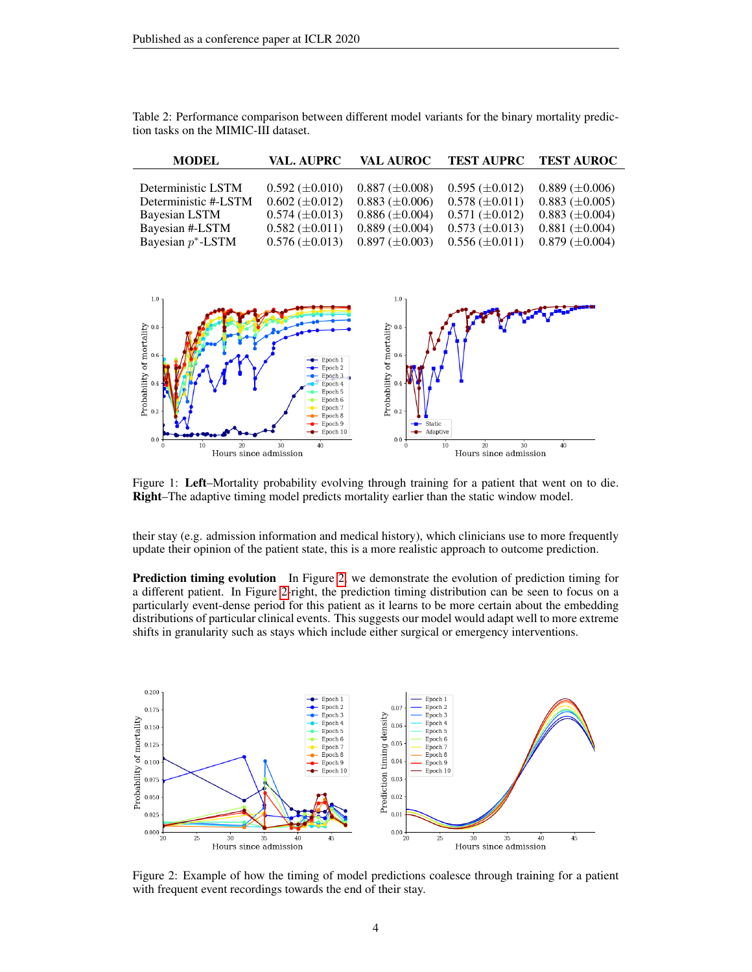| <b>MODEL</b>         | <b>VAL. AUPRC</b>     | <b>VAL AUROC</b>      | <b>TEST AUPRC</b>     | <b>TEST AUROC</b>     |
|----------------------|-----------------------|-----------------------|-----------------------|-----------------------|
|                      |                       |                       |                       |                       |
| Deterministic LSTM   | $0.592 \ (\pm 0.010)$ | $0.887 \ (\pm 0.008)$ | $0.595 \ (\pm 0.012)$ | $0.889 \ (\pm 0.006)$ |
| Deterministic #-LSTM | $0.602 \ (\pm 0.012)$ | $0.883 \ (\pm 0.006)$ | $0.578 \ (\pm 0.011)$ | $0.883 \ (\pm 0.005)$ |
| Bayesian LSTM        | $0.574 \ (\pm 0.013)$ | $0.886 \ (\pm 0.004)$ | $0.571 \ (\pm 0.012)$ | $0.883 \ (\pm 0.004)$ |
| Bayesian #-LSTM      | $0.582 \ (\pm 0.011)$ | $0.889 \ (\pm 0.004)$ | $0.573 \ (\pm 0.013)$ | $0.881 \ (\pm 0.004)$ |
| Bayesian $p^*$ -LSTM | $0.576 \ (\pm 0.013)$ | $0.897 \ (\pm 0.003)$ | $0.556 \ (\pm 0.011)$ | $0.879 \ (\pm 0.004)$ |

<span id="page-3-1"></span>Table 2: Performance comparison between different model variants for the binary mortality prediction tasks on the MIMIC-III dataset.



<span id="page-3-0"></span>Figure 1: Left–Mortality probability evolving through training for a patient that went on to die. Right–The adaptive timing model predicts mortality earlier than the static window model.

their stay (e.g. admission information and medical history), which clinicians use to more frequently update their opinion of the patient state, this is a more realistic approach to outcome prediction.

**Prediction timing evolution** In Figure [2,](#page-3-2) we demonstrate the evolution of prediction timing for a different patient. In Figure [2-](#page-3-2)right, the prediction timing distribution can be seen to focus on a particularly event-dense period for this patient as it learns to be more certain about the embedding distributions of particular clinical events. This suggests our model would adapt well to more extreme shifts in granularity such as stays which include either surgical or emergency interventions.



<span id="page-3-2"></span>Figure 2: Example of how the timing of model predictions coalesce through training for a patient with frequent event recordings towards the end of their stay.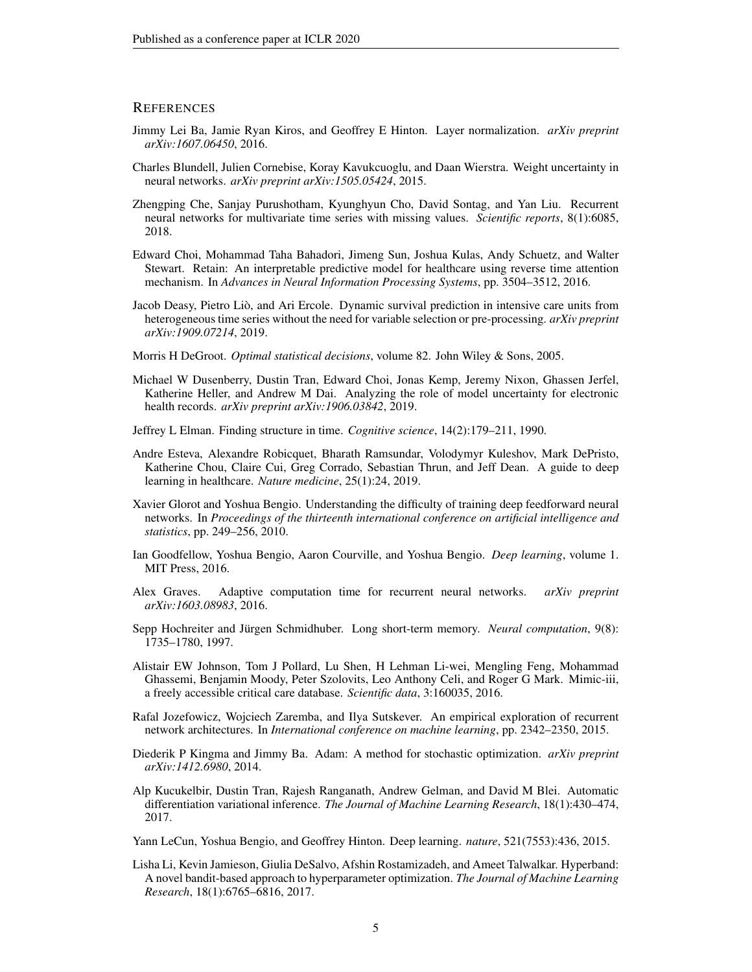#### **REFERENCES**

- <span id="page-4-13"></span>Jimmy Lei Ba, Jamie Ryan Kiros, and Geoffrey E Hinton. Layer normalization. *arXiv preprint arXiv:1607.06450*, 2016.
- <span id="page-4-6"></span>Charles Blundell, Julien Cornebise, Koray Kavukcuoglu, and Daan Wierstra. Weight uncertainty in neural networks. *arXiv preprint arXiv:1505.05424*, 2015.
- <span id="page-4-5"></span>Zhengping Che, Sanjay Purushotham, Kyunghyun Cho, David Sontag, and Yan Liu. Recurrent neural networks for multivariate time series with missing values. *Scientific reports*, 8(1):6085, 2018.
- <span id="page-4-3"></span>Edward Choi, Mohammad Taha Bahadori, Jimeng Sun, Joshua Kulas, Andy Schuetz, and Walter Stewart. Retain: An interpretable predictive model for healthcare using reverse time attention mechanism. In *Advances in Neural Information Processing Systems*, pp. 3504–3512, 2016.
- <span id="page-4-10"></span>Jacob Deasy, Pietro Lio, and Ari Ercole. Dynamic survival prediction in intensive care units from ` heterogeneous time series without the need for variable selection or pre-processing. *arXiv preprint arXiv:1909.07214*, 2019.
- <span id="page-4-12"></span>Morris H DeGroot. *Optimal statistical decisions*, volume 82. John Wiley & Sons, 2005.
- <span id="page-4-8"></span>Michael W Dusenberry, Dustin Tran, Edward Choi, Jonas Kemp, Jeremy Nixon, Ghassen Jerfel, Katherine Heller, and Andrew M Dai. Analyzing the role of model uncertainty for electronic health records. *arXiv preprint arXiv:1906.03842*, 2019.
- <span id="page-4-4"></span>Jeffrey L Elman. Finding structure in time. *Cognitive science*, 14(2):179–211, 1990.
- <span id="page-4-2"></span>Andre Esteva, Alexandre Robicquet, Bharath Ramsundar, Volodymyr Kuleshov, Mark DePristo, Katherine Chou, Claire Cui, Greg Corrado, Sebastian Thrun, and Jeff Dean. A guide to deep learning in healthcare. *Nature medicine*, 25(1):24, 2019.
- <span id="page-4-15"></span>Xavier Glorot and Yoshua Bengio. Understanding the difficulty of training deep feedforward neural networks. In *Proceedings of the thirteenth international conference on artificial intelligence and statistics*, pp. 249–256, 2010.
- <span id="page-4-1"></span>Ian Goodfellow, Yoshua Bengio, Aaron Courville, and Yoshua Bengio. *Deep learning*, volume 1. MIT Press, 2016.
- <span id="page-4-11"></span>Alex Graves. Adaptive computation time for recurrent neural networks. *arXiv preprint arXiv:1603.08983*, 2016.
- <span id="page-4-14"></span>Sepp Hochreiter and Jürgen Schmidhuber. Long short-term memory. Neural computation, 9(8): 1735–1780, 1997.
- <span id="page-4-9"></span>Alistair EW Johnson, Tom J Pollard, Lu Shen, H Lehman Li-wei, Mengling Feng, Mohammad Ghassemi, Benjamin Moody, Peter Szolovits, Leo Anthony Celi, and Roger G Mark. Mimic-iii, a freely accessible critical care database. *Scientific data*, 3:160035, 2016.
- <span id="page-4-16"></span>Rafal Jozefowicz, Wojciech Zaremba, and Ilya Sutskever. An empirical exploration of recurrent network architectures. In *International conference on machine learning*, pp. 2342–2350, 2015.
- <span id="page-4-18"></span>Diederik P Kingma and Jimmy Ba. Adam: A method for stochastic optimization. *arXiv preprint arXiv:1412.6980*, 2014.
- <span id="page-4-7"></span>Alp Kucukelbir, Dustin Tran, Rajesh Ranganath, Andrew Gelman, and David M Blei. Automatic differentiation variational inference. *The Journal of Machine Learning Research*, 18(1):430–474, 2017.
- <span id="page-4-0"></span>Yann LeCun, Yoshua Bengio, and Geoffrey Hinton. Deep learning. *nature*, 521(7553):436, 2015.
- <span id="page-4-17"></span>Lisha Li, Kevin Jamieson, Giulia DeSalvo, Afshin Rostamizadeh, and Ameet Talwalkar. Hyperband: A novel bandit-based approach to hyperparameter optimization. *The Journal of Machine Learning Research*, 18(1):6765–6816, 2017.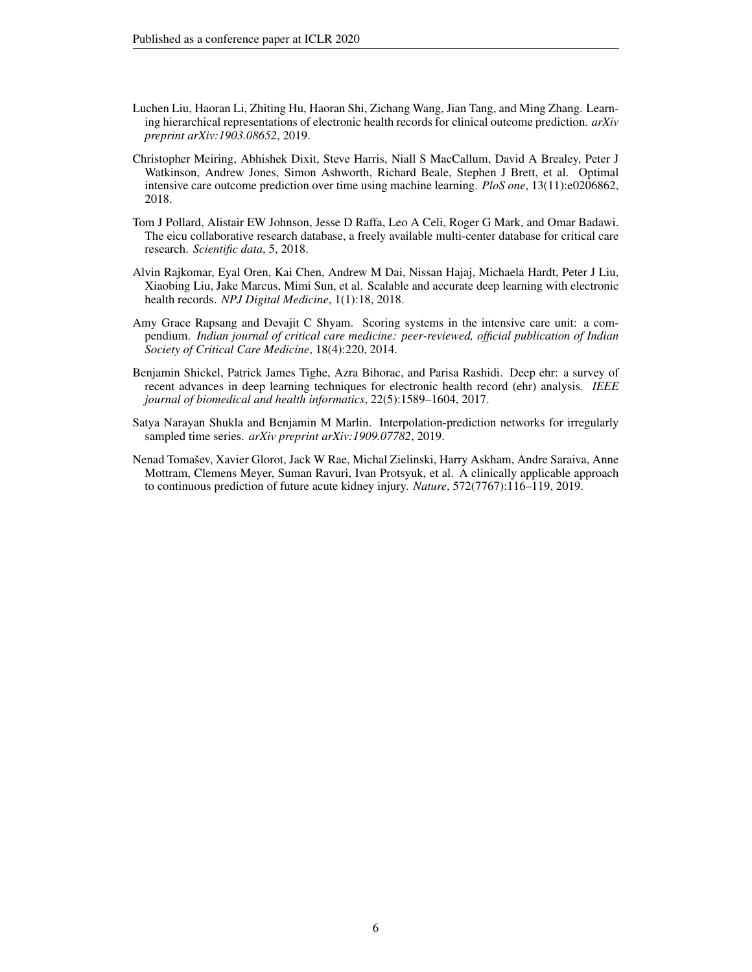- <span id="page-5-6"></span>Luchen Liu, Haoran Li, Zhiting Hu, Haoran Shi, Zichang Wang, Jian Tang, and Ming Zhang. Learning hierarchical representations of electronic health records for clinical outcome prediction. *arXiv preprint arXiv:1903.08652*, 2019.
- <span id="page-5-3"></span>Christopher Meiring, Abhishek Dixit, Steve Harris, Niall S MacCallum, David A Brealey, Peter J Watkinson, Andrew Jones, Simon Ashworth, Richard Beale, Stephen J Brett, et al. Optimal intensive care outcome prediction over time using machine learning. *PloS one*, 13(11):e0206862, 2018.
- <span id="page-5-4"></span>Tom J Pollard, Alistair EW Johnson, Jesse D Raffa, Leo A Celi, Roger G Mark, and Omar Badawi. The eicu collaborative research database, a freely available multi-center database for critical care research. *Scientific data*, 5, 2018.
- <span id="page-5-1"></span>Alvin Rajkomar, Eyal Oren, Kai Chen, Andrew M Dai, Nissan Hajaj, Michaela Hardt, Peter J Liu, Xiaobing Liu, Jake Marcus, Mimi Sun, et al. Scalable and accurate deep learning with electronic health records. *NPJ Digital Medicine*, 1(1):18, 2018.
- <span id="page-5-7"></span>Amy Grace Rapsang and Devajit C Shyam. Scoring systems in the intensive care unit: a compendium. *Indian journal of critical care medicine: peer-reviewed, official publication of Indian Society of Critical Care Medicine*, 18(4):220, 2014.
- <span id="page-5-0"></span>Benjamin Shickel, Patrick James Tighe, Azra Bihorac, and Parisa Rashidi. Deep ehr: a survey of recent advances in deep learning techniques for electronic health record (ehr) analysis. *IEEE journal of biomedical and health informatics*, 22(5):1589–1604, 2017.
- <span id="page-5-5"></span>Satya Narayan Shukla and Benjamin M Marlin. Interpolation-prediction networks for irregularly sampled time series. *arXiv preprint arXiv:1909.07782*, 2019.
- <span id="page-5-2"></span>Nenad Tomašev, Xavier Glorot, Jack W Rae, Michal Zielinski, Harry Askham, Andre Saraiva, Anne Mottram, Clemens Meyer, Suman Ravuri, Ivan Protsyuk, et al. A clinically applicable approach to continuous prediction of future acute kidney injury. *Nature*, 572(7767):116–119, 2019.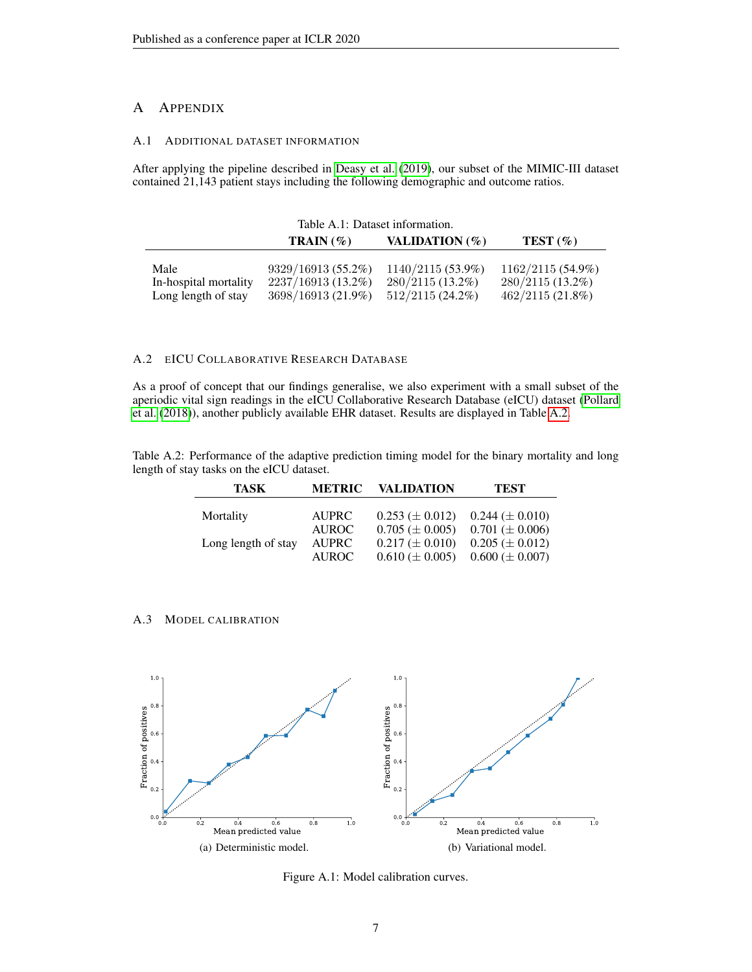# A APPENDIX

#### A.1 ADDITIONAL DATASET INFORMATION

After applying the pipeline described in [Deasy et al.](#page-4-10) [\(2019\)](#page-4-10), our subset of the MIMIC-III dataset contained 21,143 patient stays including the following demographic and outcome ratios.

| Table A.1: Dataset information. |                      |                          |                     |
|---------------------------------|----------------------|--------------------------|---------------------|
|                                 | <b>TRAIN</b> $(\% )$ | <b>VALIDATION</b> $(\%)$ | TEST(%)             |
|                                 |                      |                          |                     |
| Male                            | 9329/16913 (55.2%)   | $1140/2115(53.9\%)$      | $1162/2115(54.9\%)$ |
| In-hospital mortality           | 2237/16913 (13.2%)   | 280/2115 (13.2%)         | $280/2115(13.2\%)$  |
| Long length of stay             | 3698/16913 (21.9%)   | $512/2115(24.2\%)$       | $462/2115(21.8\%)$  |

# <span id="page-6-0"></span>A.2 EICU COLLABORATIVE RESEARCH DATABASE

As a proof of concept that our findings generalise, we also experiment with a small subset of the aperiodic vital sign readings in the eICU Collaborative Research Database (eICU) dataset [\(Pollard](#page-5-4) [et al.](#page-5-4) [\(2018\)](#page-5-4)), another publicly available EHR dataset. Results are displayed in Table [A.2.](#page-3-1)

Table A.2: Performance of the adaptive prediction timing model for the binary mortality and long length of stay tasks on the eICU dataset.

| TASK                | <b>METRIC</b> | <b>VALIDATION</b>     | <b>TEST</b>           |
|---------------------|---------------|-----------------------|-----------------------|
|                     |               |                       |                       |
| Mortality           | <b>AUPRC</b>  | $0.253 \ (\pm 0.012)$ | $0.244 \ (\pm 0.010)$ |
|                     | <b>AUROC</b>  | $0.705 \ (\pm 0.005)$ | $0.701 \ (\pm 0.006)$ |
| Long length of stay | <b>AUPRC</b>  | $0.217 \ (\pm 0.010)$ | $0.205 \ (\pm 0.012)$ |
|                     | <b>AUROC</b>  | $0.610 \ (\pm 0.005)$ | $0.600 \ (\pm 0.007)$ |

A.3 MODEL CALIBRATION



Figure A.1: Model calibration curves.